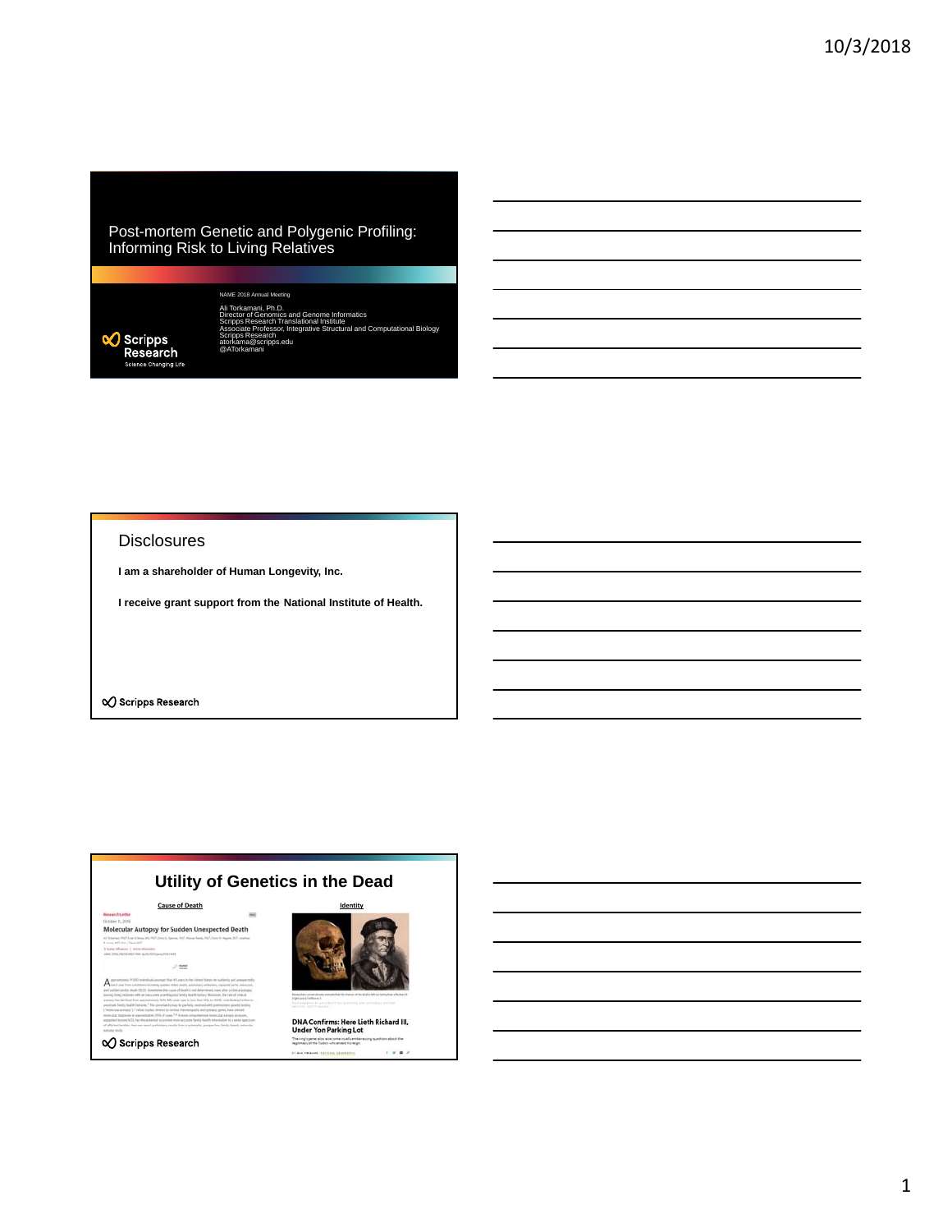#### Post-mortem Genetic and Polygenic Profiling: Informing Risk to Living Relatives



NAME 2018 Ann Ali Torkamani, Ph.D.<br>Director of Genomics and Genome Informatics<br>Scripps Research Translational Institute<br>Associate Professor, Integrative Structural and Computational Biology<br>Scripps Research edu @ATorkamani

#### **Disclosures**

**I am a shareholder of Human Longevity, Inc.**

**I receive grant support from the National Institute of Health.**

 $\infty$  Scripps Research

### **Utility of Genetics in the Dead**

Molecular Autopsy for Sudden Unexpected Death

 $\mathcal{O}$ 

 $A -$ 

**Q** Scripps Research



DNA Confirms: Here Lieth Richard III,<br>Under Yon Parking Lot

 $\mathcal{D}$  $1 + 1$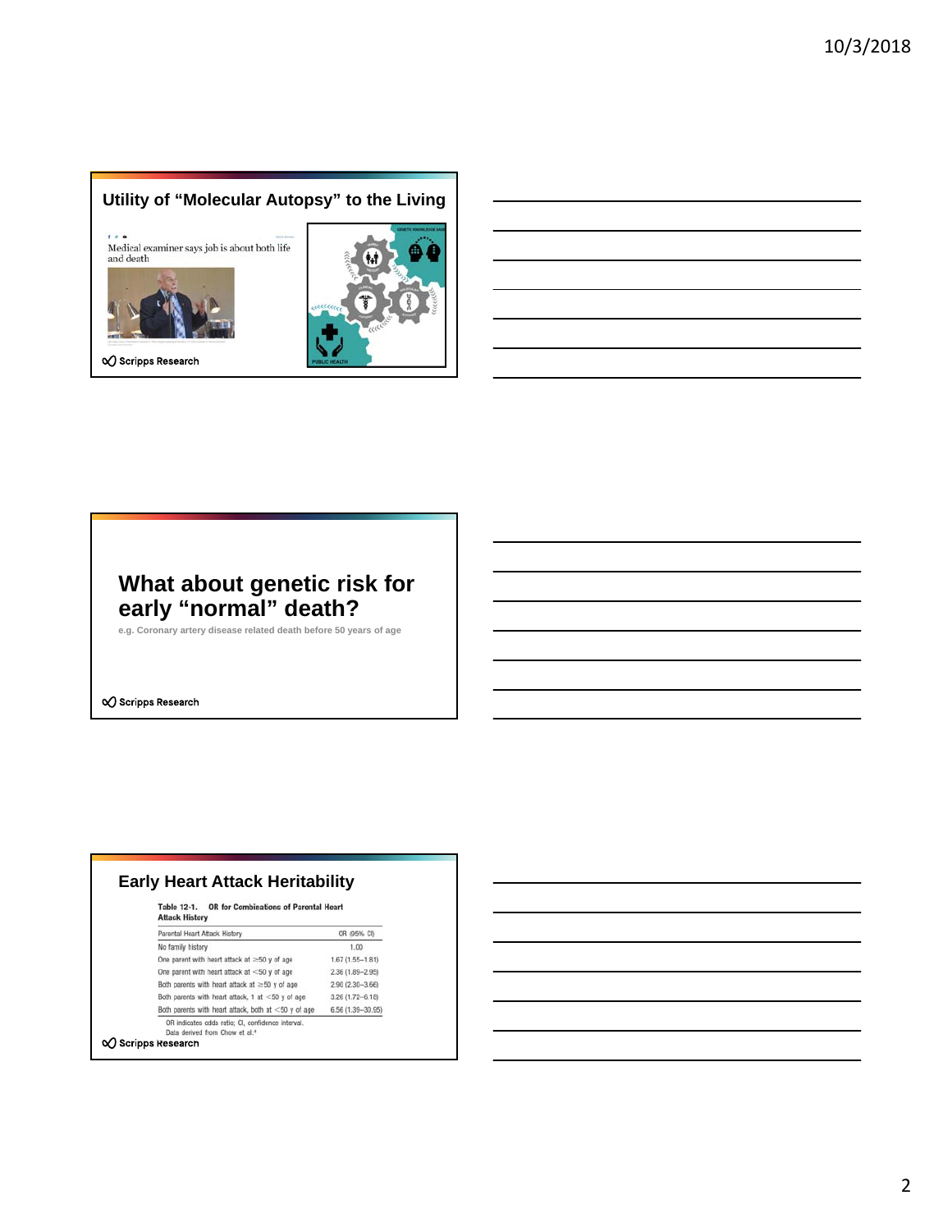## **Utility of "Molecular Autopsy" to the Living**

 $1 + 4$ Medical examiner says job is about both life and death



√ Scripps Research



# **What about genetic risk for early "normal" death?**

**e.g. Coronary artery disease related death before 50 years of age**

 $\infty$  Scripps Research

| <b>OR for Combinations of Parental Heart</b><br>Table 12-1.<br><b>Attack History</b> |                      |
|--------------------------------------------------------------------------------------|----------------------|
| Parental Heart Attack History                                                        | OR (95% CI)          |
| No family history                                                                    | 1.00                 |
| One parent with heart attack at $\geq$ 50 y of age                                   | $1.67(1.55 - 1.81)$  |
| One parent with heart attack at $<$ 50 y of age                                      | 2.36 (1.89-2.95)     |
| Both parents with heart attack at $\geq$ 50 y of age                                 | 2.90 (2.30-3.66)     |
| Both parents with heart attack, 1 at $<$ 50 y of age                                 | $3.26(1.72 - 6.18)$  |
| Both parents with heart attack, both at $<$ 50 y of age                              | $6.56(1.39 - 30.95)$ |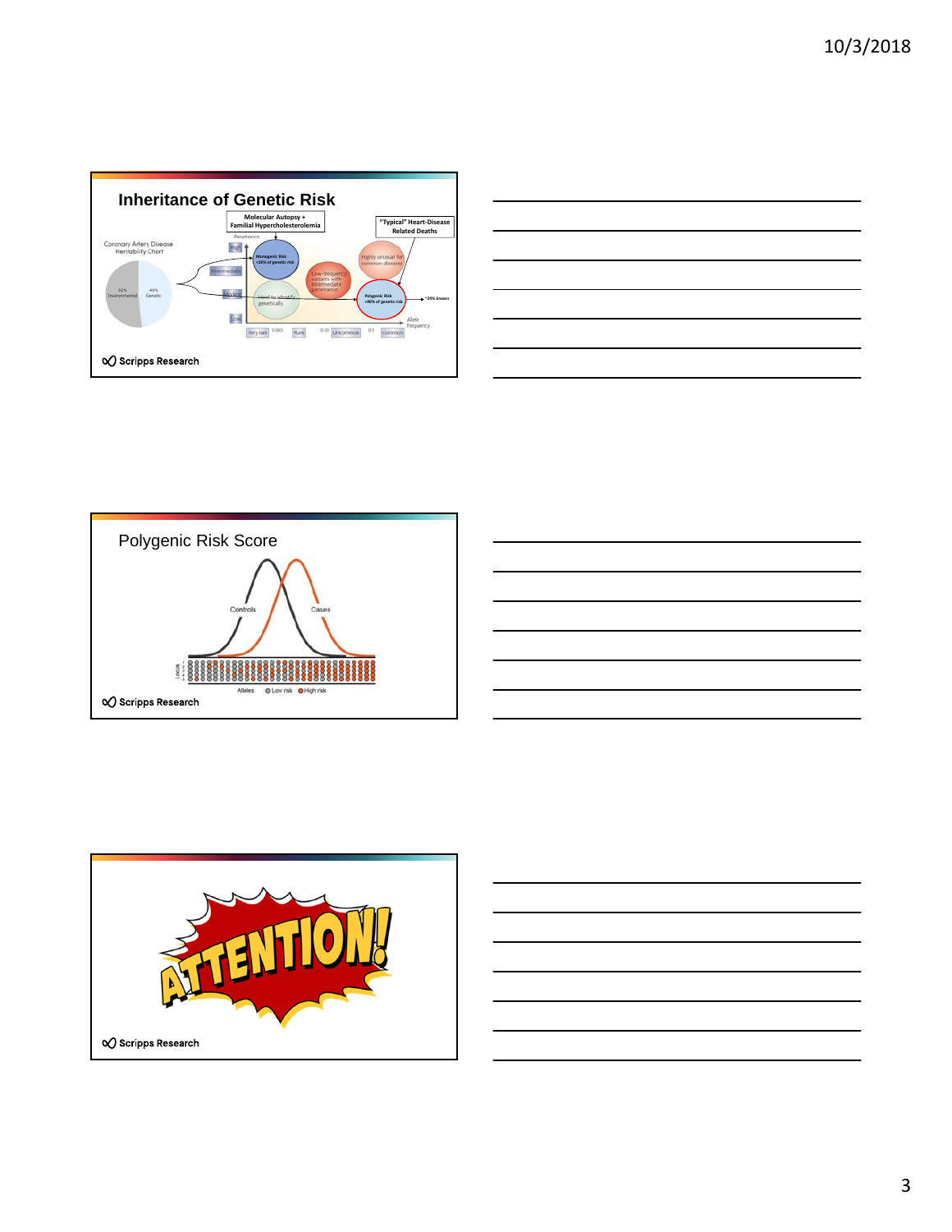

| and the contract of the contract of the contract of the contract of the contract of the contract of the contract of |
|---------------------------------------------------------------------------------------------------------------------|
|                                                                                                                     |
|                                                                                                                     |



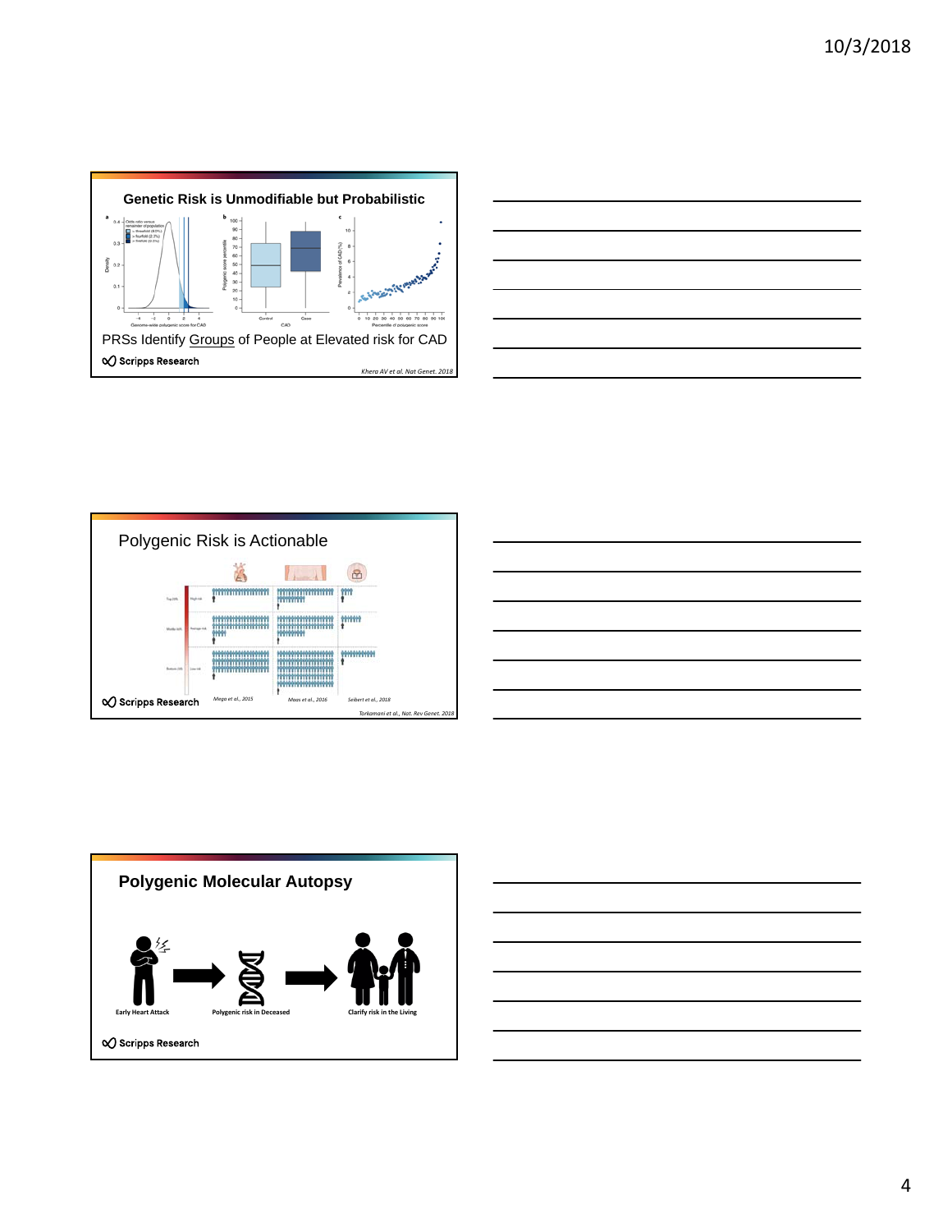